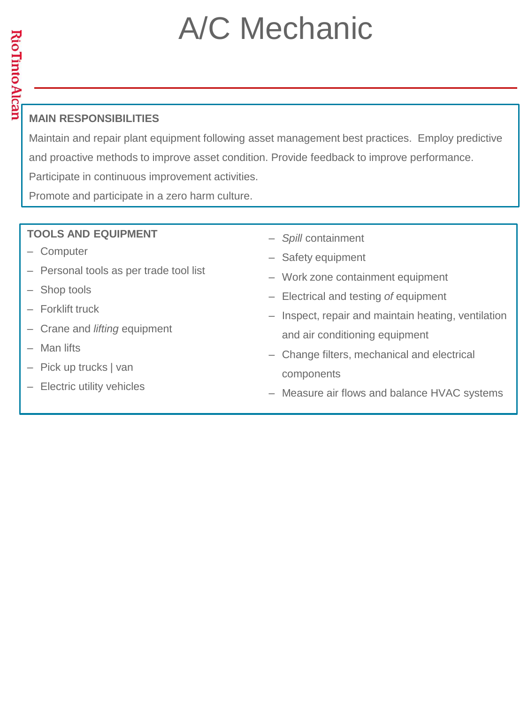## A/C Mechanic

Maintain and repair plant equipment following asset management best practices. Employ predictive and proactive methods to improve asset condition. Provide feedback to improve performance. Participate in continuous improvement activities.

Promote and participate in a zero harm culture.

- ‒ Computer
- ‒ Personal tools as per trade tool list
- Shop tools
- ‒ Forklift truck
- ‒ Crane and *lifting* equipment
- ‒ Man lifts
- ‒ Pick up trucks | van
- Electric utility vehicles
- ‒ *Spill* containment
- Safety equipment
- ‒ Work zone containment equipment
- ‒ Electrical and testing *of* equipment
- ‒ Inspect, repair and maintain heating, ventilation and air conditioning equipment
- Change filters, mechanical and electrical components
- Measure air flows and balance HVAC systems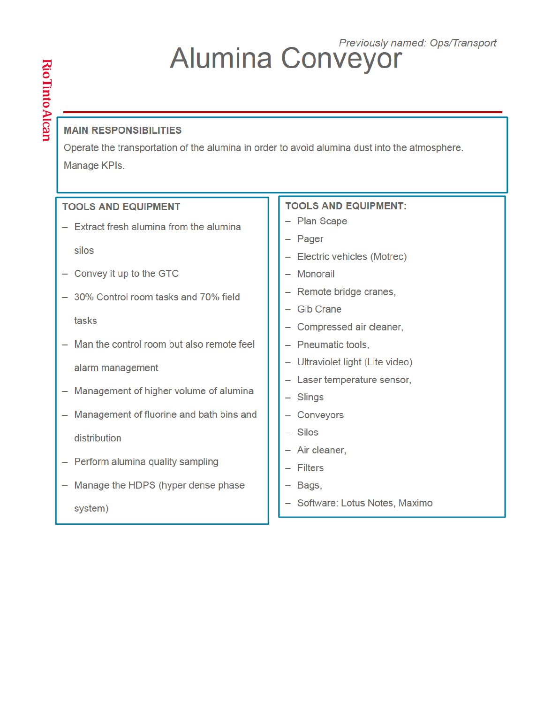# **Alumina Conveyor**

#### **MAIN RESPONSIBILITIES**

Operate the transportation of the alumina in order to avoid alumina dust into the atmosphere. Manage KPIs.

| <b>TOOLS AND EQUIPMENT</b>                  | <b>TOOLS AND EQUIPMENT:</b>      |  |  |  |
|---------------------------------------------|----------------------------------|--|--|--|
| Extract fresh alumina from the alumina      | - Plan Scape                     |  |  |  |
|                                             | - Pager                          |  |  |  |
| silos                                       | - Electric vehicles (Motrec)     |  |  |  |
| - Convey it up to the GTC                   | - Monorail                       |  |  |  |
| - 30% Control room tasks and 70% field      | - Remote bridge cranes,          |  |  |  |
|                                             | - Gib Crane                      |  |  |  |
| tasks                                       | - Compressed air cleaner,        |  |  |  |
| Man the control room but also remote feel   | - Pneumatic tools,               |  |  |  |
| alarm management                            | - Ultraviolet light (Lite video) |  |  |  |
|                                             | - Laser temperature sensor,      |  |  |  |
| Management of higher volume of alumina<br>- | $-$ Slings                       |  |  |  |
| Management of fluorine and bath bins and    | - Conveyors                      |  |  |  |
| distribution                                | $-$ Silos                        |  |  |  |
|                                             | - Air cleaner.                   |  |  |  |
| - Perform alumina quality sampling          | $-$ Filters                      |  |  |  |
| Manage the HDPS (hyper dense phase          | - Bags,                          |  |  |  |
| system)                                     | - Software: Lotus Notes, Maximo  |  |  |  |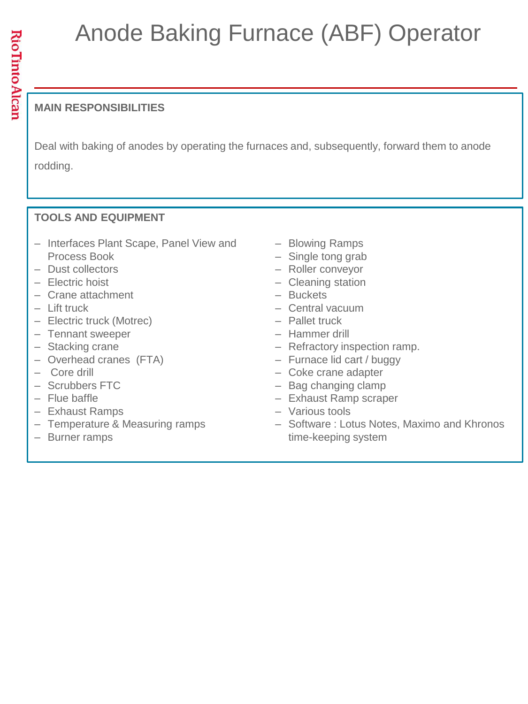### Anode Baking Furnace (ABF) Operator

#### **MAIN RESPONSIBILITIES**

Deal with baking of anodes by operating the furnaces and, subsequently, forward them to anode rodding.

- ‒ Interfaces Plant Scape, Panel View and Process Book
- ‒ Dust collectors
- Electric hoist
- ‒ Crane attachment
- ‒ Lift truck
- ‒ Electric truck (Motrec)
- ‒ Tennant sweeper
- Stacking crane
- ‒ Overhead cranes (FTA)
- ‒ Core drill
- ‒ Scrubbers FTC
- ‒ Flue baffle
- Exhaust Ramps
- Temperature & Measuring ramps
- ‒ Burner ramps
- Blowing Ramps
- Single tong grab
- Roller conveyor
- Cleaning station
- ‒ Buckets
- ‒ Central vacuum
- ‒ Pallet truck
- ‒ Hammer drill
- Refractory inspection ramp.
- Furnace lid cart / buggy
- ‒ Coke crane adapter
- Bag changing clamp
- ‒ Exhaust Ramp scraper
- ‒ Various tools
- ‒ Software : Lotus Notes, Maximo and Khronos time-keeping system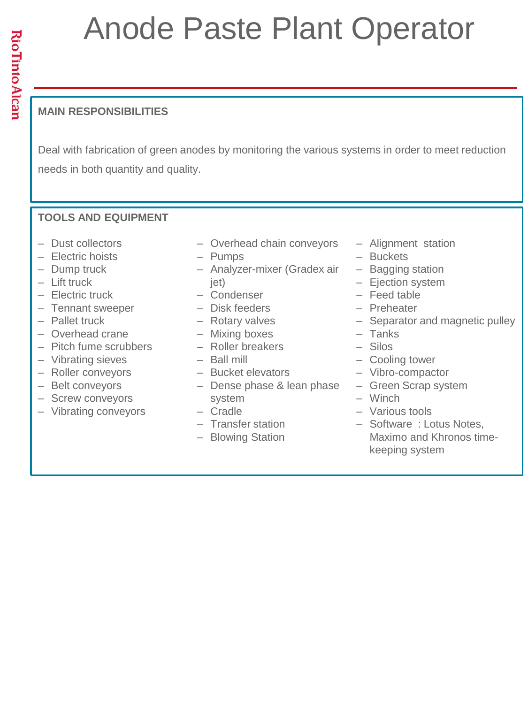## Anode Paste Plant Operator

#### **MAIN RESPONSIBILITIES**

Deal with fabrication of green anodes by monitoring the various systems in order to meet reduction needs in both quantity and quality.

- ‒ Dust collectors
- ‒ Electric hoists
- ‒ Dump truck
- ‒ Lift truck
- ‒ Electric truck
- ‒ Tennant sweeper
- ‒ Pallet truck
- ‒ Overhead crane
- ‒ Pitch fume scrubbers
- ‒ Vibrating sieves
- ‒ Roller conveyors
- Belt conveyors
- Screw conveyors
- ‒ Vibrating conveyors
- Overhead chain conveyors
- ‒ Pumps
- ‒ Analyzer-mixer (Gradex air jet)
- ‒ Condenser
- ‒ Disk feeders
- ‒ Rotary valves
- ‒ Mixing boxes
- ‒ Roller breakers
- $-$  Ball mill
- ‒ Bucket elevators
- Dense phase & lean phase system
- ‒ Cradle
- ‒ Transfer station
- Blowing Station
- ‒ Alignment station
- ‒ Buckets
- Bagging station
- Ejection system
- ‒ Feed table
- ‒ Preheater
- Separator and magnetic pulley
- ‒ Tanks
- $-$  Silos
- Cooling tower
- ‒ Vibro-compactor
- ‒ Green Scrap system
- ‒ Winch
- ‒ Various tools
- ‒ Software : Lotus Notes, Maximo and Khronos timekeeping system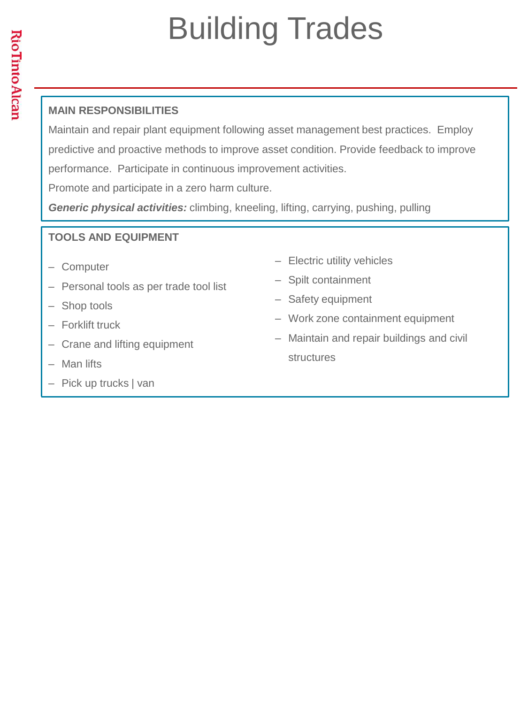## Building Trades

#### **MAIN RESPONSIBILITIES**

Maintain and repair plant equipment following asset management best practices. Employ predictive and proactive methods to improve asset condition. Provide feedback to improve performance. Participate in continuous improvement activities.

Promote and participate in a zero harm culture.

*Generic physical activities:* climbing, kneeling, lifting, carrying, pushing, pulling

- ‒ Computer
- ‒ Personal tools as per trade tool list
- Shop tools
- ‒ Forklift truck
- Crane and lifting equipment
- Man lifts
- ‒ Pick up trucks | van
- Electric utility vehicles
- ‒ Spilt containment
- Safety equipment
- ‒ Work zone containment equipment
- ‒ Maintain and repair buildings and civil structures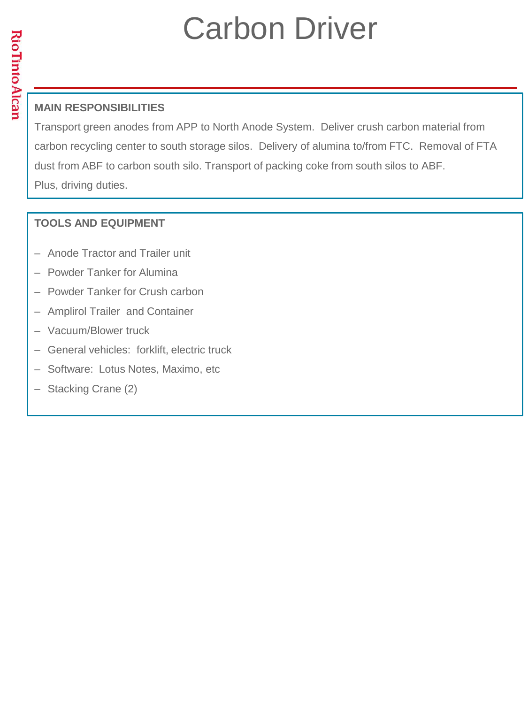### Carbon Driver

#### **MAIN RESPONSIBILITIES**

Transport green anodes from APP to North Anode System. Deliver crush carbon material from carbon recycling center to south storage silos. Delivery of alumina to/from FTC. Removal of FTA dust from ABF to carbon south silo. Transport of packing coke from south silos to ABF. Plus, driving duties.

- Anode Tractor and Trailer unit
- Powder Tanker for Alumina
- Powder Tanker for Crush carbon
- Amplirol Trailer and Container
- ‒ Vacuum/Blower truck
- ‒ General vehicles: forklift, electric truck
- ‒ Software: Lotus Notes, Maximo, etc
- ‒ Stacking Crane (2)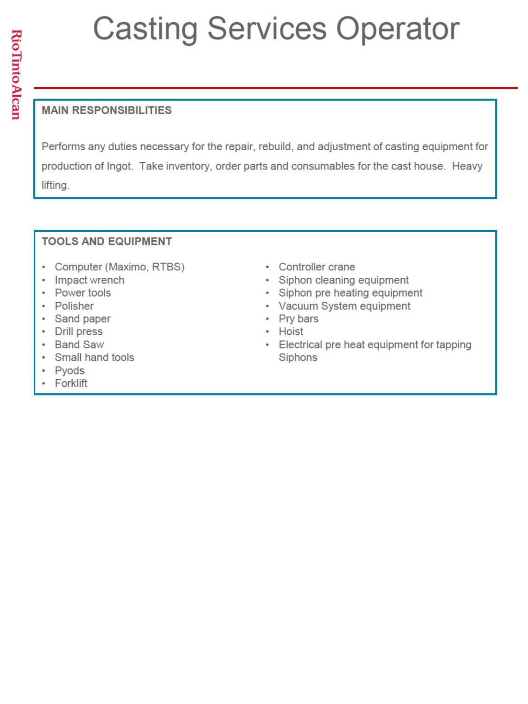## **Casting Services Operator**

#### **MAIN RESPONSIBILITIES**

Performs any duties necessary for the repair, rebuild, and adjustment of casting equipment for production of Ingot. Take inventory, order parts and consumables for the cast house. Heavy lifting.

- Computer (Maximo, RTBS)
- Impact wrench
- Power tools
- Polisher
- Sand paper
- Drill press
- Band Saw
- Small hand tools
- Pyods
- **Forklift**
- Controller crane
- Siphon cleaning equipment
- Siphon pre heating equipment  $\bullet$
- Vacuum System equipment
- Pry bars
- Hoist
- Electrical pre heat equipment for tapping  $\bullet$  . Siphons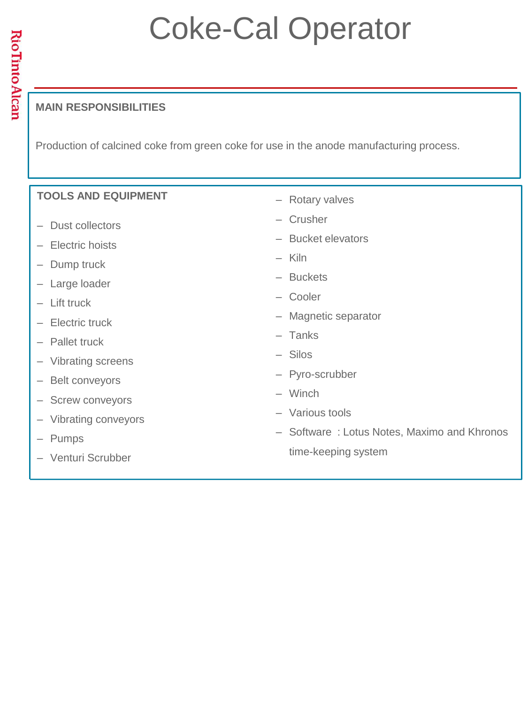### Coke-Cal Operator

#### **MAIN RESPONSIBILITIES**

Production of calcined coke from green coke for use in the anode manufacturing process.

#### **TOOLS AND EQUIPMENT**  ‒ Dust collectors ‒ Electric hoists - Dump truck - Large loader  $-$  Lift truck ‒ Electric truck - Pallet truck ‒ Vibrating screens - Belt conveyors - Screw conveyors ‒ Vibrating conveyors ‒ Pumps ‒ Venturi Scrubber - Rotary valves ‒ Crusher ‒ Bucket elevators ‒ Kiln ‒ Buckets ‒ Cooler ‒ Magnetic separator ‒ Tanks  $-$  Silos ‒ Pyro-scrubber ‒ Winch ‒ Various tools ‒ Software : Lotus Notes, Maximo and Khronos time-keeping system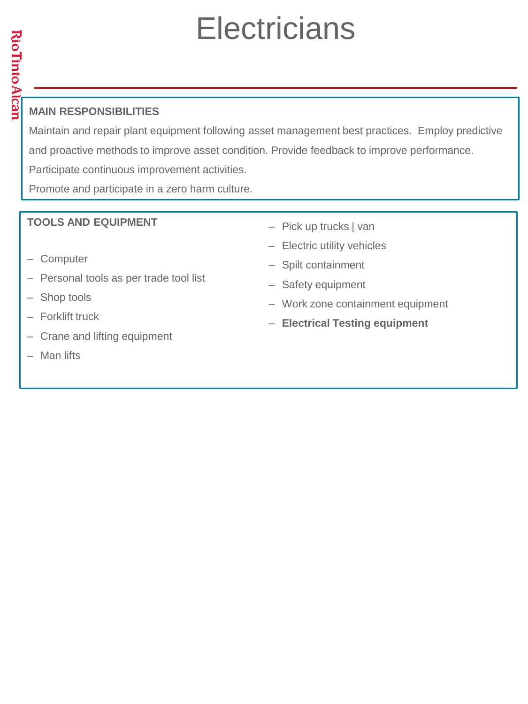### **Electricians**

#### **MAIN RESPONSIBILITIES**

Maintain and repair plant equipment following asset management best practices. Employ predictive and proactive methods to improve asset condition. Provide feedback to improve performance. Participate continuous improvement activities.

Promote and participate in a zero harm culture.

- ‒ Computer
- Personal tools as per trade tool list
- Shop tools
- ‒ Forklift truck
- Crane and lifting equipment
- ‒ Man lifts
- ‒ Pick up trucks | van
- Electric utility vehicles
- ‒ Spilt containment
- Safety equipment
- Work zone containment equipment
- ‒ **Electrical Testing equipment**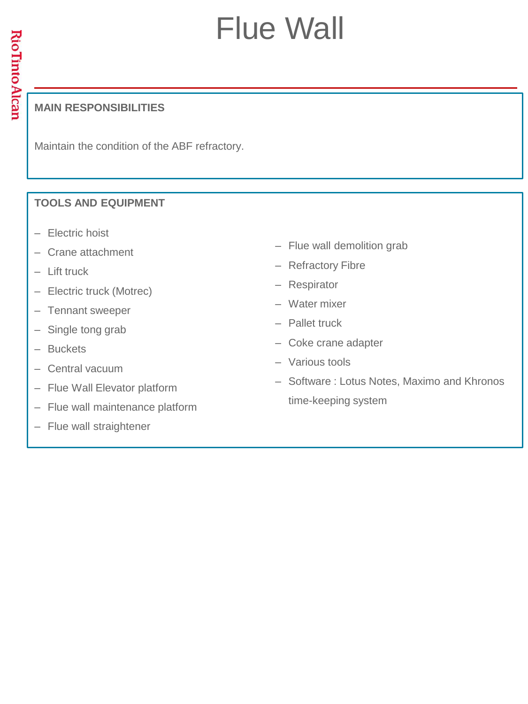### Flue Wall

#### **MAIN RESPONSIBILITIES**

Maintain the condition of the ABF refractory.

- ‒ Electric hoist
- ‒ Crane attachment
- ‒ Lift truck
- Electric truck (Motrec)
- Tennant sweeper
- Single tong grab
- ‒ Buckets
- Central vacuum
- ‒ Flue Wall Elevator platform
- Flue wall maintenance platform
- Flue wall straightener
- Flue wall demolition grab
- Refractory Fibre
- ‒ Respirator
- ‒ Water mixer
- ‒ Pallet truck
- Coke crane adapter
- ‒ Various tools
- ‒ Software : Lotus Notes, Maximo and Khronos time-keeping system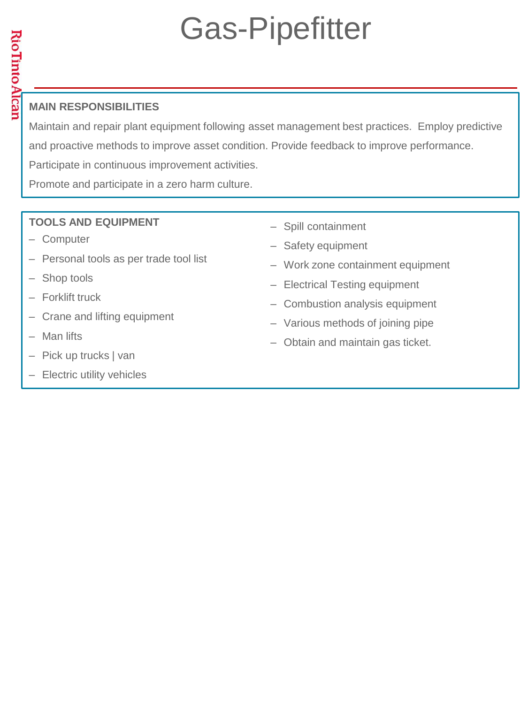## Gas-Pipefitter

#### **MAIN RESPONSIBILITIES**

Maintain and repair plant equipment following asset management best practices. Employ predictive and proactive methods to improve asset condition. Provide feedback to improve performance. Participate in continuous improvement activities.

Promote and participate in a zero harm culture.

- ‒ Computer
- Personal tools as per trade tool list
- Shop tools
- ‒ Forklift truck
- Crane and lifting equipment
- Man lifts
- ‒ Pick up trucks | van
- Electric utility vehicles
- ‒ Spill containment
- Safety equipment
- ‒ Work zone containment equipment
- Electrical Testing equipment
- Combustion analysis equipment
- ‒ Various methods of joining pipe
- Obtain and maintain gas ticket.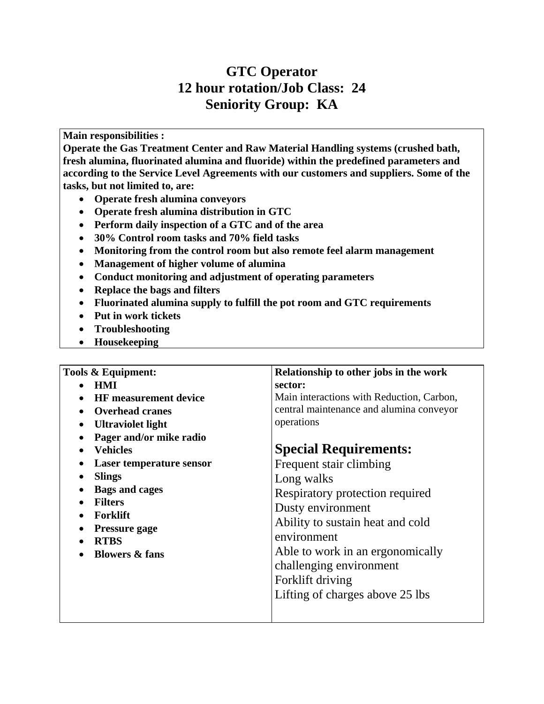#### **GTC Operator 12 hour rotation/Job Class: 24 Seniority Group: KA**

**Main responsibilities :** 

**Operate the Gas Treatment Center and Raw Material Handling systems (crushed bath, fresh alumina, fluorinated alumina and fluoride) within the predefined parameters and according to the Service Level Agreements with our customers and suppliers. Some of the tasks, but not limited to, are:** 

- **Operate fresh alumina conveyors**
- **Operate fresh alumina distribution in GTC**
- **Perform daily inspection of a GTC and of the area**
- **30% Control room tasks and 70% field tasks**
- **Monitoring from the control room but also remote feel alarm management**
- **Management of higher volume of alumina**
- **Conduct monitoring and adjustment of operating parameters**
- **Replace the bags and filters**
- **Fluorinated alumina supply to fulfill the pot room and GTC requirements**
- **Put in work tickets**
- **Troubleshooting**
- **Housekeeping**

| Tools & Equipment:              | Relationship to other jobs in the work    |  |  |  |  |
|---------------------------------|-------------------------------------------|--|--|--|--|
| <b>HMI</b>                      | sector:                                   |  |  |  |  |
| <b>HF</b> measurement device    | Main interactions with Reduction, Carbon, |  |  |  |  |
| <b>Overhead cranes</b>          | central maintenance and alumina conveyor  |  |  |  |  |
| <b>Ultraviolet light</b>        | operations                                |  |  |  |  |
| Pager and/or mike radio         |                                           |  |  |  |  |
| <b>Vehicles</b>                 | <b>Special Requirements:</b>              |  |  |  |  |
| <b>Laser temperature sensor</b> | Frequent stair climbing                   |  |  |  |  |
| <b>Slings</b>                   | Long walks                                |  |  |  |  |
| <b>Bags and cages</b>           | Respiratory protection required           |  |  |  |  |
| <b>Filters</b>                  | Dusty environment                         |  |  |  |  |
| <b>Forklift</b>                 | Ability to sustain heat and cold          |  |  |  |  |
| <b>Pressure gage</b>            |                                           |  |  |  |  |
| <b>RTBS</b>                     | environment                               |  |  |  |  |
| <b>Blowers &amp; fans</b>       | Able to work in an ergonomically          |  |  |  |  |
|                                 | challenging environment                   |  |  |  |  |
|                                 | Forklift driving                          |  |  |  |  |
|                                 | Lifting of charges above 25 lbs           |  |  |  |  |
|                                 |                                           |  |  |  |  |
|                                 |                                           |  |  |  |  |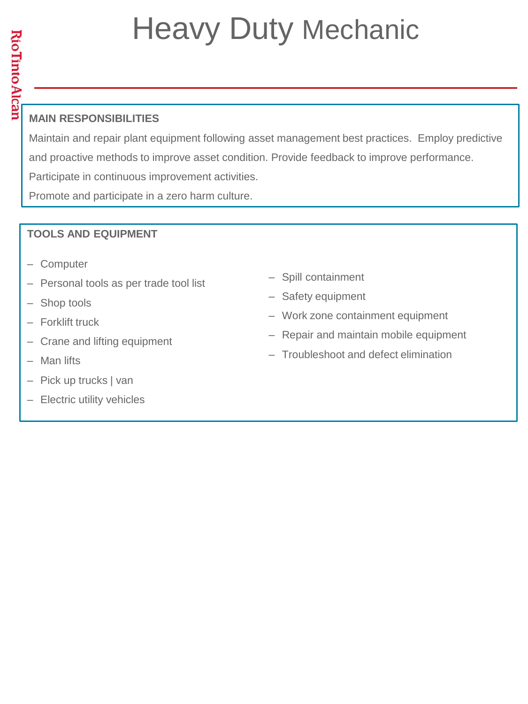### Heavy Duty Mechanic

#### **MAIN RESPONSIBILITIES**

Maintain and repair plant equipment following asset management best practices. Employ predictive and proactive methods to improve asset condition. Provide feedback to improve performance. Participate in continuous improvement activities.

Promote and participate in a zero harm culture.

- ‒ Computer
- ‒ Personal tools as per trade tool list
- Shop tools
- ‒ Forklift truck
- Crane and lifting equipment
- Man lifts
- ‒ Pick up trucks | van
- ‒ Electric utility vehicles
- ‒ Spill containment
- Safety equipment
- ‒ Work zone containment equipment
- Repair and maintain mobile equipment
- ‒ Troubleshoot and defect elimination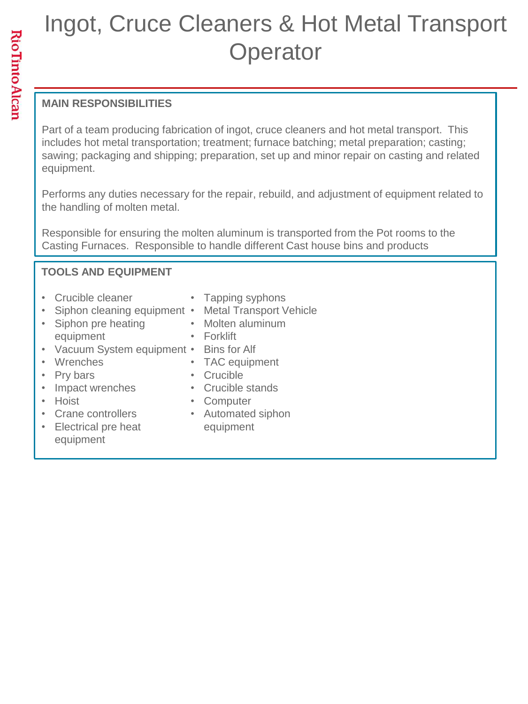### Ingot, Cruce Cleaners & Hot Metal Transport **Operator**

#### **MAIN RESPONSIBILITIES**

Part of a team producing fabrication of ingot, cruce cleaners and hot metal transport. This includes hot metal transportation; treatment; furnace batching; metal preparation; casting; sawing; packaging and shipping; preparation, set up and minor repair on casting and related equipment.

Performs any duties necessary for the repair, rebuild, and adjustment of equipment related to the handling of molten metal.

Responsible for ensuring the molten aluminum is transported from the Pot rooms to the Casting Furnaces. Responsible to handle different Cast house bins and products

#### **TOOLS AND EQUIPMENT**

- Crucible cleaner
- Siphon cleaning equipment Metal Transport Vehicle
- Siphon pre heating equipment
- Tapping syphons
	-
- Molten aluminum
- Forklift

• Crucible

- Vacuum System equipment Bins for Alf
- Wrenches
- Pry bars
- Impact wrenches
- Hoist
- Crane controllers
- Electrical pre heat equipment
- Crucible stands • Computer

• TAC equipment

• Automated siphon equipment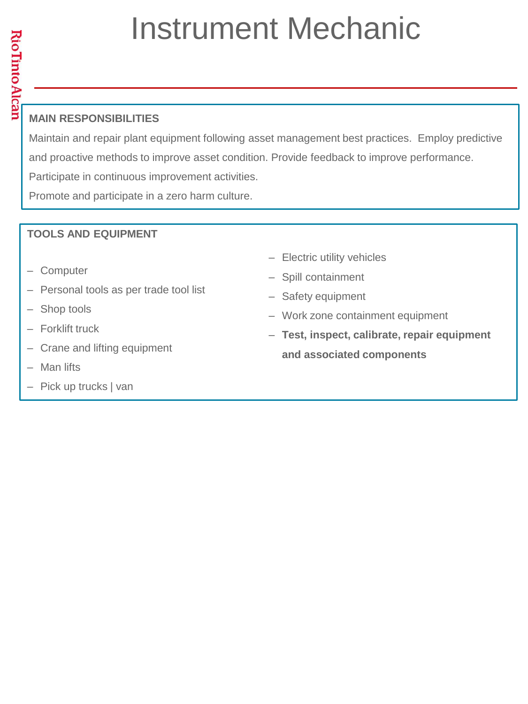### Instrument Mechanic

Maintain and repair plant equipment following asset management best practices. Employ predictive and proactive methods to improve asset condition. Provide feedback to improve performance. Participate in continuous improvement activities.

Promote and participate in a zero harm culture.

- ‒ Computer
- ‒ Personal tools as per trade tool list
- Shop tools
- Forklift truck
- Crane and lifting equipment
- ‒ Man lifts
- ‒ Pick up trucks | van
- Electric utility vehicles
- ‒ Spill containment
- Safety equipment
- ‒ Work zone containment equipment
- ‒ **Test, inspect, calibrate, repair equipment and associated components**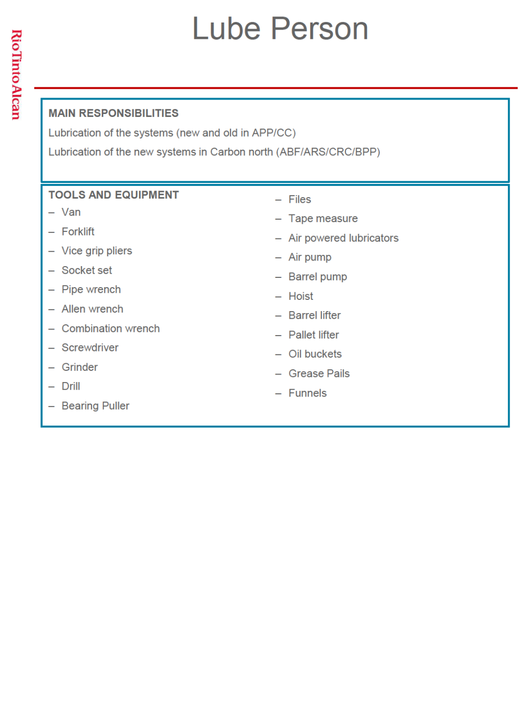### **Lube Person**

#### **MAIN RESPONSIBILITIES**

Lubrication of the systems (new and old in APP/CC)

Lubrication of the new systems in Carbon north (ABF/ARS/CRC/BPP)

- $-$  Van
- Forklift
- Vice grip pliers
- Socket set
- Pipe wrench
- Allen wrench
- Combination wrench
- Screwdriver
- Grinder
- $-$  Drill
- Bearing Puller
- $-$  Files
- Tape measure
- Air powered lubricators
- $-$  Air pump
- Barrel pump
- Hoist
- Barrel lifter
- Pallet lifter
- Oil buckets
- Grease Pails
- $-$  Funnels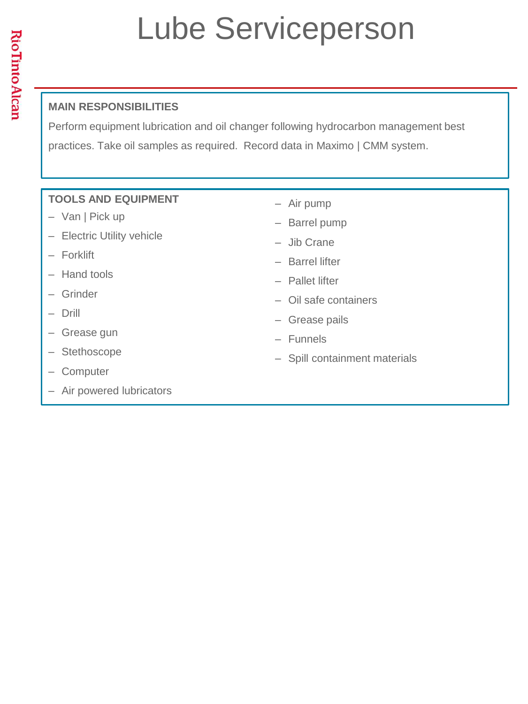### Lube Serviceperson

#### **MAIN RESPONSIBILITIES**

Perform equipment lubrication and oil changer following hydrocarbon management best practices. Take oil samples as required. Record data in Maximo | CMM system.

- Van | Pick up
- Electric Utility vehicle
- ‒ Forklift
- Hand tools
- ‒ Grinder
- ‒ Drill
- Grease gun
- ‒ Stethoscope
- ‒ Computer
- Air powered lubricators
- ‒ Air pump
- Barrel pump
- ‒ Jib Crane
- ‒ Barrel lifter
- ‒ Pallet lifter
- ‒ Oil safe containers
- ‒ Grease pails
- ‒ Funnels
- ‒ Spill containment materials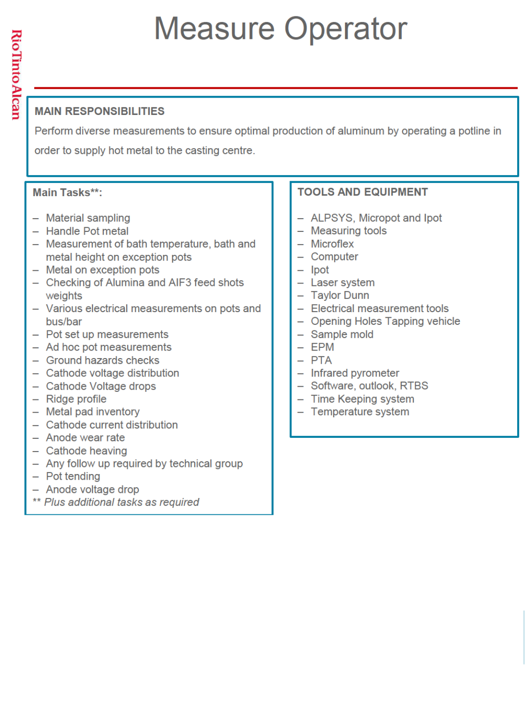### **Measure Operator**

#### **MAIN RESPONSIBILITIES**

Perform diverse measurements to ensure optimal production of aluminum by operating a potline in order to supply hot metal to the casting centre.

#### Main Tasks\*\*:

- Material sampling
- Handle Pot metal
- Measurement of bath temperature, bath and metal height on exception pots
- Metal on exception pots
- Checking of Alumina and AIF3 feed shots weights
- Various electrical measurements on pots and bus/bar
- Pot set up measurements
- Ad hoc pot measurements
- Ground hazards checks
- Cathode voltage distribution
- Cathode Voltage drops
- Ridge profile
- Metal pad inventory
- Cathode current distribution
- Anode wear rate
- Cathode heaving
- Any follow up required by technical group
- $-$  Pot tending
- Anode voltage drop
- \*\* Plus additional tasks as required

- ALPSYS, Micropot and Ipot
- Measuring tools
- Microflex
- Computer
- $-$  Ipot
- Laser system
- Taylor Dunn
- Electrical measurement tools
- Opening Holes Tapping vehicle
- Sample mold
- $-$  EPM
- $-$  PTA
- Infrared pyrometer
- Software, outlook, RTBS
- Time Keeping system
- Temperature system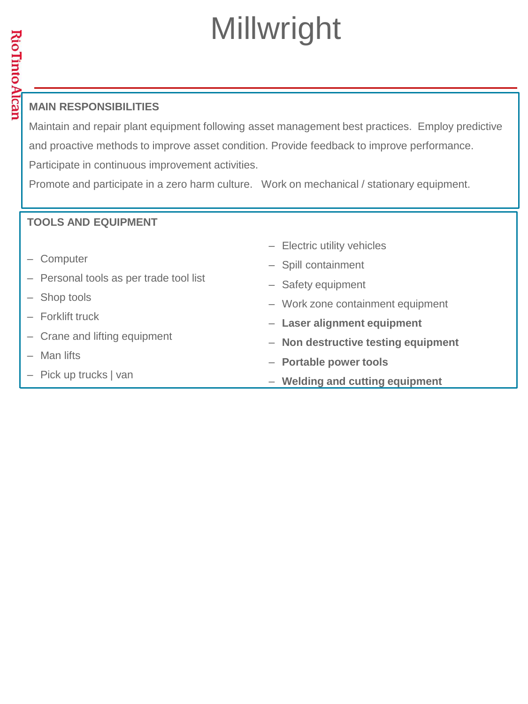## Millwright

#### **MAIN RESPONSIBILITIES**

Maintain and repair plant equipment following asset management best practices. Employ predictive and proactive methods to improve asset condition. Provide feedback to improve performance. Participate in continuous improvement activities.

Promote and participate in a zero harm culture. Work on mechanical / stationary equipment.

- ‒ Computer
- ‒ Personal tools as per trade tool list
- Shop tools
- ‒ Forklift truck
- Crane and lifting equipment
- ‒ Man lifts
- ‒ Pick up trucks | van
- ‒ Electric utility vehicles
- ‒ Spill containment
- Safety equipment
- ‒ Work zone containment equipment
- ‒ **Laser alignment equipment**
- ‒ **Non destructive testing equipment**
- ‒ **Portable power tools**
- ‒ **Welding and cutting equipment**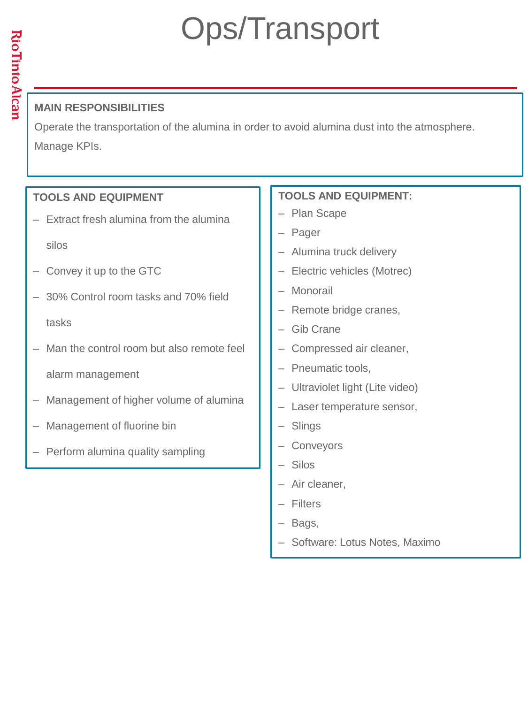### Ops/Transport

#### **MAIN RESPONSIBILITIES**

Operate the transportation of the alumina in order to avoid alumina dust into the atmosphere. Manage KPIs.

#### **TOOLS AND EQUIPMENT**

- ‒ Extract fresh alumina from the alumina
	- silos
- ‒ Convey it up to the GTC
- ‒ 30% Control room tasks and 70% field tasks
- Man the control room but also remote feel alarm management
- ‒ Management of higher volume of alumina
- ‒ Management of fluorine bin
- ‒ Perform alumina quality sampling

- Plan Scape
- ‒ Pager
- Alumina truck delivery
- ‒ Electric vehicles (Motrec)
- ‒ Monorail
- Remote bridge cranes,
- ‒ Gib Crane
- ‒ Compressed air cleaner,
- ‒ Pneumatic tools,
- ‒ Ultraviolet light (Lite video)
- Laser temperature sensor,
- ‒ Slings
- ‒ Conveyors
- $-$  Silos
- Air cleaner.
- ‒ Filters
- Bags,
- ‒ Software: Lotus Notes, Maximo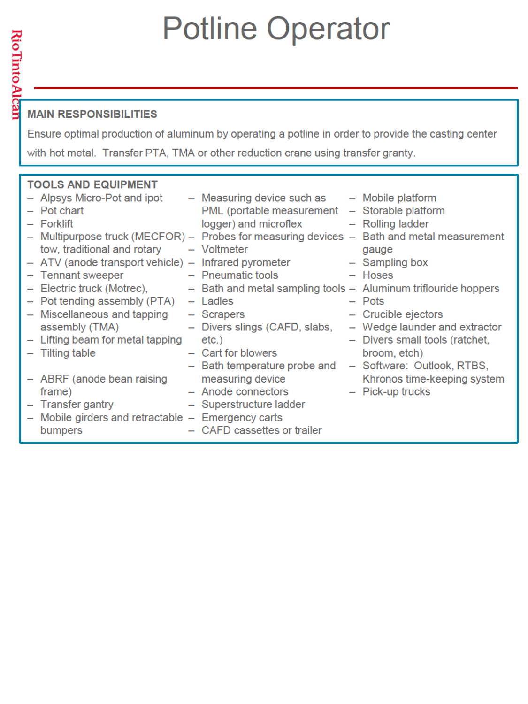### **Potline Operator**

#### **MAIN RESPONSIBILITIES**

<u> Rio Iinto Alcar</u>

Ensure optimal production of aluminum by operating a potline in order to provide the casting center with hot metal. Transfer PTA, TMA or other reduction crane using transfer granty.

#### **TOOLS AND EQUIPMENT** - Alpsys Micro-Pot and ipot - Measuring device such as - Mobile platform - Pot chart PML (portable measurement - Storable platform - Forklift logger) and microflex - Rolling ladder - Multipurpose truck (MECFOR) - Probes for measuring devices - Bath and metal measurement tow, traditional and rotary - Voltmeter qauge - ATV (anode transport vehicle) - Infrared pyrometer - Sampling box - Tennant sweeper - Pneumatic tools - Hoses - Electric truck (Motrec), - Bath and metal sampling tools - Aluminum triflouride hoppers  $-$  Pot tending assembly (PTA)  $-$  Ladles  $-$  Pots - Crucible ejectors - Miscellaneous and tapping - Scrapers assembly (TMA) - Divers slings (CAFD, slabs, - Wedge launder and extractor - Lifting beam for metal tapping - Divers small tools (ratchet.  $etc.$ ) - Tilting table - Cart for blowers broom, etch) - Bath temperature probe and - Software: Outlook, RTBS, - ABRF (anode bean raising measuring device Khronos time-keeping system - Anode connectors - Pick-up trucks frame) - Transfer gantry - Superstructure ladder - Mobile girders and retractable - Emergency carts bumpers - CAFD cassettes or trailer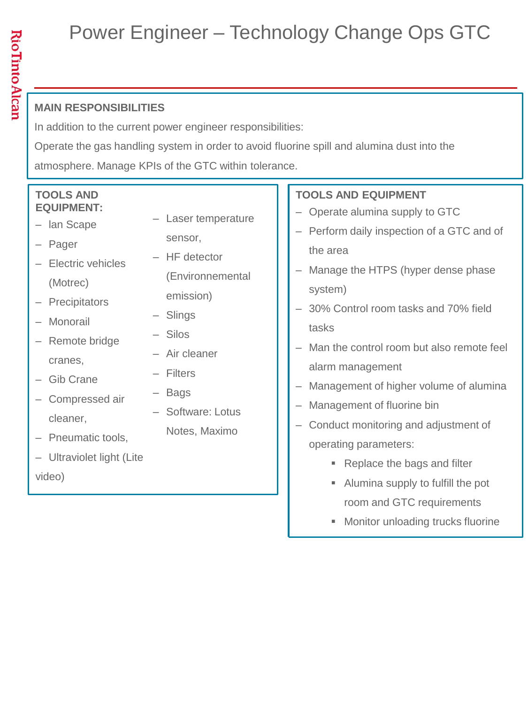### Power Engineer – Technology Change Ops GTC

#### **MAIN RESPONSIBILITIES**

In addition to the current power engineer responsibilities:

Operate the gas handling system in order to avoid fluorine spill and alumina dust into the

atmosphere. Manage KPIs of the GTC within tolerance.

‒ Laser temperature

(Environnemental

sensor, ‒ HF detector

emission)

‒ Air cleaner

‒ Slings ‒ Silos

‒ Filters

‒ Bags

- ‒ lan Scape
- ‒ Pager
- ‒ Electric vehicles (Motrec)
- ‒ Precipitators
- ‒ Monorail
- Remote bridge cranes,
- ‒ Gib Crane
- ‒ Compressed air cleaner,
- ‒ Pneumatic tools,
- ‒ Software: Lotus Notes, Maximo
- ‒ Ultraviolet light (Lite video)
- **TOOLS AND EQUIPMENT** 
	- Operate alumina supply to GTC
	- Perform daily inspection of a GTC and of the area
	- Manage the HTPS (hyper dense phase system)
	- ‒ 30% Control room tasks and 70% field tasks
	- Man the control room but also remote feel alarm management
	- ‒ Management of higher volume of alumina
	- ‒ Management of fluorine bin
	- ‒ Conduct monitoring and adjustment of operating parameters:
		- Replace the bags and filter
		- Alumina supply to fulfill the pot room and GTC requirements
		- **Monitor unloading trucks fluorine**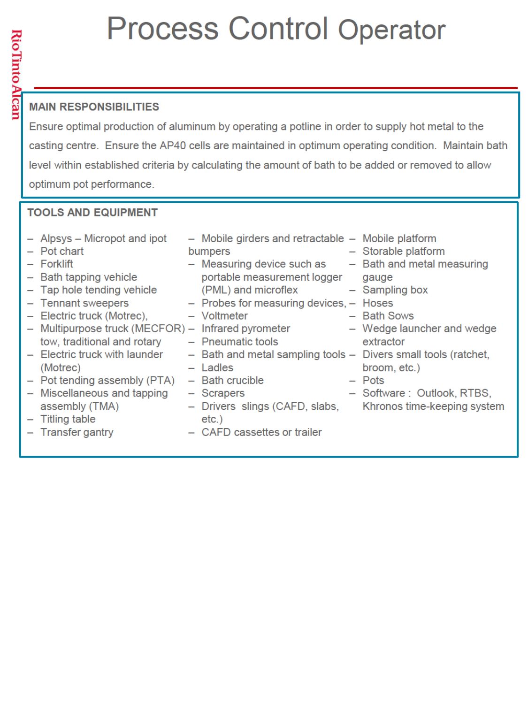### **Process Control Operator**

#### **MAIN RESPONSIBILITIES**

Ensure optimal production of aluminum by operating a potline in order to supply hot metal to the casting centre. Ensure the AP40 cells are maintained in optimum operating condition. Maintain bath level within established criteria by calculating the amount of bath to be added or removed to allow optimum pot performance.

| - Alpsys - Micropot and ipot<br>- Pot chart<br>- Forklift<br>- Bath tapping vehicle<br>- Tap hole tending vehicle<br>- Tennant sweepers<br>- Electric truck (Motrec),<br>- Multipurpose truck (MECFOR) - Infrared pyrometer<br>tow, traditional and rotary<br>- Electric truck with launder<br>(Motrec)<br>- Pot tending assembly (PTA)<br>- Miscellaneous and tapping<br>assembly (TMA)<br>- Titling table<br>- Transfer gantry | - Mobile girders and retractable - Mobile platform<br>bumpers<br>$-$ Measuring device such as $-$ Bath and metal measuring<br>portable measurement logger<br>(PML) and microflex<br>- Probes for measuring devices, - Hoses<br>- Voltmeter<br>- Pneumatic tools<br>- Bath and metal sampling tools - Divers small tools (ratchet,<br>$-$ Ladles<br>- Bath crucible<br>- Scrapers<br>- Drivers slings (CAFD, slabs, Khronos time-keeping system<br>$etc.$ )<br>- CAFD cassettes or trailer | - Storable platform<br>gauge<br>- Sampling box<br>- Bath Sows<br>- Wedge launcher and wedge<br>extractor<br>broom, etc.)<br>$-$ Pots<br>- Software: Outlook, RTBS, |
|----------------------------------------------------------------------------------------------------------------------------------------------------------------------------------------------------------------------------------------------------------------------------------------------------------------------------------------------------------------------------------------------------------------------------------|-------------------------------------------------------------------------------------------------------------------------------------------------------------------------------------------------------------------------------------------------------------------------------------------------------------------------------------------------------------------------------------------------------------------------------------------------------------------------------------------|--------------------------------------------------------------------------------------------------------------------------------------------------------------------|
|                                                                                                                                                                                                                                                                                                                                                                                                                                  |                                                                                                                                                                                                                                                                                                                                                                                                                                                                                           |                                                                                                                                                                    |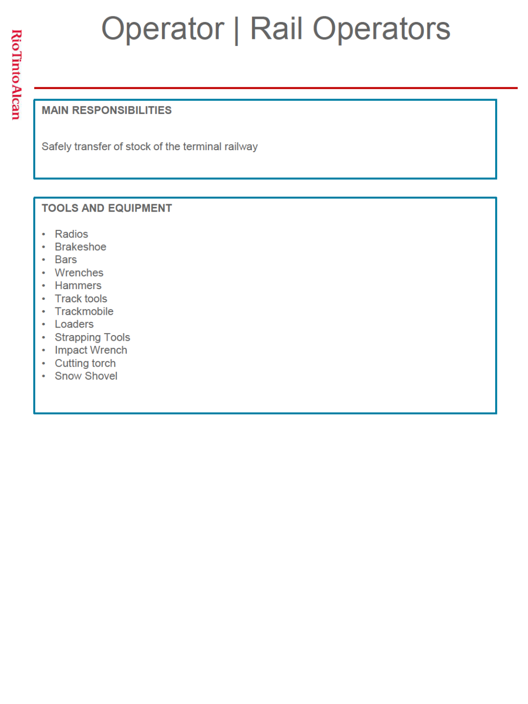## **Operator | Rail Operators**

#### **MAIN RESPONSIBILITIES**

Safely transfer of stock of the terminal railway

- Radios
- **Brakeshoe**  $\bullet$
- **Bars**  $\bullet$
- Wrenches  $\bullet$
- Hammers
- **Track tools**  $\ddot{\phantom{a}}$
- Trackmobile
- Loaders
- Strapping Tools
- Impact Wrench
- Cutting torch
- Snow Shovel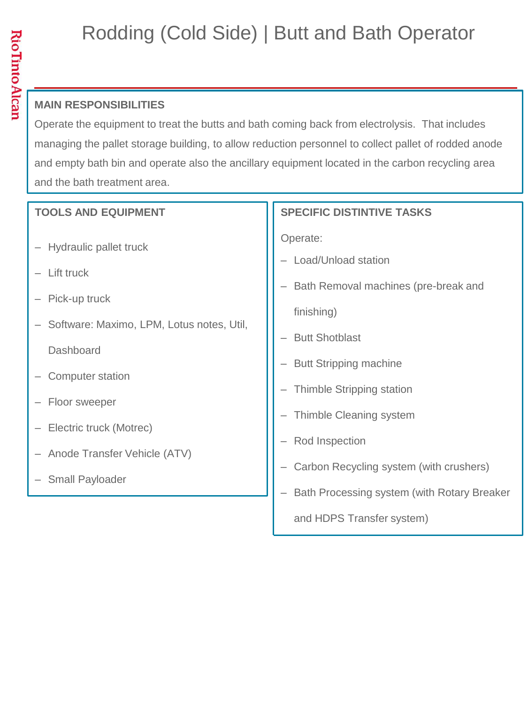### Rodding (Cold Side) | Butt and Bath Operator

#### **MAIN RESPONSIBILITIES**

Operate the equipment to treat the butts and bath coming back from electrolysis. That includes managing the pallet storage building, to allow reduction personnel to collect pallet of rodded anode and empty bath bin and operate also the ancillary equipment located in the carbon recycling area and the bath treatment area.

| <b>TOOLS AND EQUIPMENT</b>                                                                                                                     | <b>SPECIFIC DISTINTIVE TASKS</b>                                                                                                                                             |
|------------------------------------------------------------------------------------------------------------------------------------------------|------------------------------------------------------------------------------------------------------------------------------------------------------------------------------|
| - Hydraulic pallet truck<br>- Lift truck<br>Pick-up truck<br>Software: Maximo, LPM, Lotus notes, Util,<br>Dashboard<br><b>Computer station</b> | Operate:<br>Load/Unload station<br>Bath Removal machines (pre-break and<br>finishing)<br><b>Butt Shotblast</b><br><b>Butt Stripping machine</b><br>Thimble Stripping station |
| Floor sweeper<br>Electric truck (Motrec)<br>- Anode Transfer Vehicle (ATV)<br><b>Small Payloader</b>                                           | Thimble Cleaning system<br>Rod Inspection<br>Carbon Recycling system (with crushers)<br>Bath Processing system (with Rotary Breaker<br>and HDPS Transfer system)             |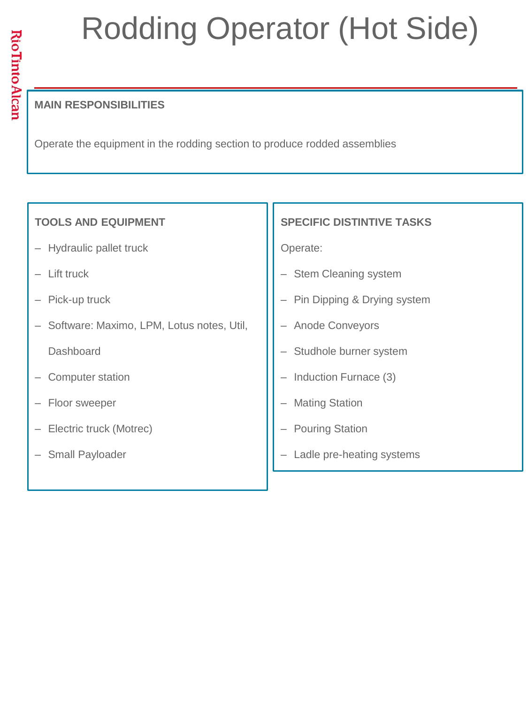# Rodding Operator (Hot Side)

#### **MAIN RESPONSIBILITIES**

Operate the equipment in the rodding section to produce rodded assemblies

#### **TOOLS AND EQUIPMENT**

- Hydraulic pallet truck
- ‒ Lift truck
- Pick-up truck
- ‒ Software: Maximo, LPM, Lotus notes, Util, **Dashboard**
- ‒ Computer station
- ‒ Floor sweeper
- ‒ Electric truck (Motrec)
- Small Payloader

#### **SPECIFIC DISTINTIVE TASKS**

Operate:

- **Stem Cleaning system**
- ‒ Pin Dipping & Drying system
- ‒ Anode Conveyors
- Studhole burner system
- Induction Furnace (3)
- **Mating Station**
- **Pouring Station**
- Ladle pre-heating systems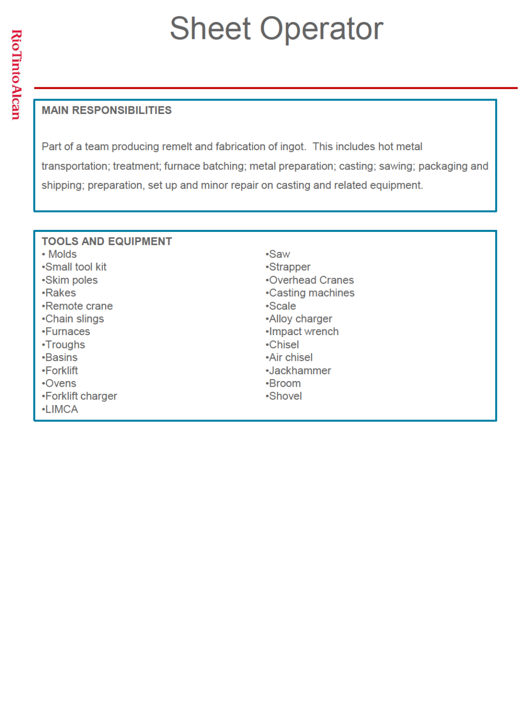## **Sheet Operator**

#### **MAIN RESPONSIBILITIES**

Part of a team producing remelt and fabrication of ingot. This includes hot metal transportation; treatment; furnace batching; metal preparation; casting; sawing; packaging and shipping; preparation, set up and minor repair on casting and related equipment.

| <b>TOOLS AND EQUIPMENT</b> |                   |
|----------------------------|-------------------|
| • Molds                    | •Saw              |
| •Small tool kit            | •Strapper         |
| •Skim poles                | •Overhead Cranes  |
| <b>-Rakes</b>              | •Casting machines |
| •Remote crane              | •Scale            |
| •Chain slings              | •Alloy charger    |
| •Furnaces                  | •Impact wrench    |
| •Troughs                   | •Chisel           |
| <b>-Basins</b>             | •Air chisel       |
| •Forklift                  | •Jackhammer       |
| $\cdot$ Ovens              | •Broom            |
| •Forklift charger          | •Shovel           |
| <b>-LIMCA</b>              |                   |
|                            |                   |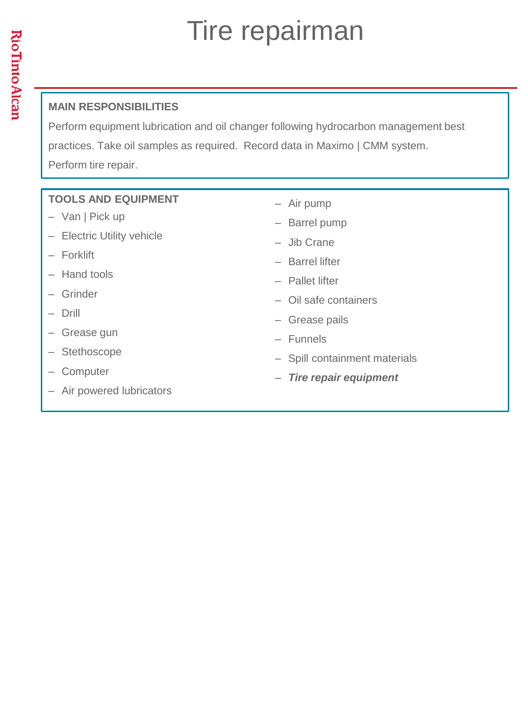### Tire repairman

#### **MAIN RESPONSIBILITIES**

Perform equipment lubrication and oil changer following hydrocarbon management best practices. Take oil samples as required. Record data in Maximo | CMM system. Perform tire repair.

- Van | Pick up
- Electric Utility vehicle
- ‒ Forklift
- ‒ Hand tools
- ‒ Grinder
- ‒ Drill
- ‒ Grease gun
- ‒ Stethoscope
- ‒ Computer
- Air powered lubricators
- ‒ Air pump
- Barrel pump
- ‒ Jib Crane
- ‒ Barrel lifter
- ‒ Pallet lifter
- ‒ Oil safe containers
- ‒ Grease pails
- ‒ Funnels
- Spill containment materials
- ‒ *Tire repair equipment*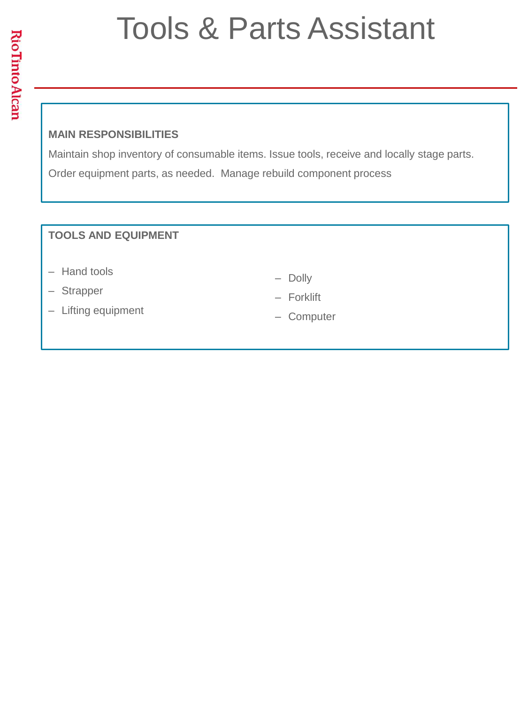### Tools & Parts Assistant

#### **MAIN RESPONSIBILITIES**

Maintain shop inventory of consumable items. Issue tools, receive and locally stage parts. Order equipment parts, as needed. Manage rebuild component process

- Hand tools
- ‒ Strapper
- Lifting equipment
- ‒ Dolly
- ‒ Forklift
- ‒ Computer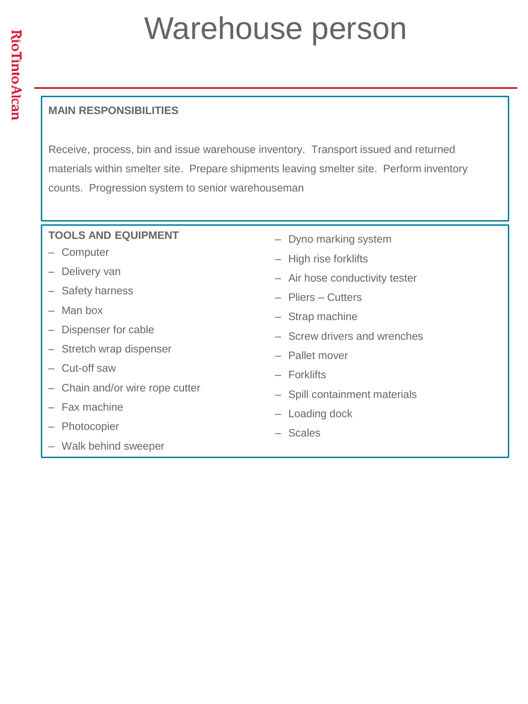### Warehouse person

#### **MAIN RESPONSIBILITIES**

Receive, process, bin and issue warehouse inventory. Transport issued and returned materials within smelter site. Prepare shipments leaving smelter site. Perform inventory counts. Progression system to senior warehouseman

- ‒ Computer
- ‒ Delivery van
- Safety harness
- $-$  Man box
- ‒ Dispenser for cable
- Stretch wrap dispenser
- ‒ Cut-off saw
- Chain and/or wire rope cutter
- Fax machine
- ‒ Photocopier
- ‒ Walk behind sweeper
- Dyno marking system
- High rise forklifts
- Air hose conductivity tester
- ‒ Pliers Cutters
- Strap machine
- ‒ Screw drivers and wrenches
- ‒ Pallet mover
- ‒ Forklifts
- ‒ Spill containment materials
- Loading dock
- ‒ Scales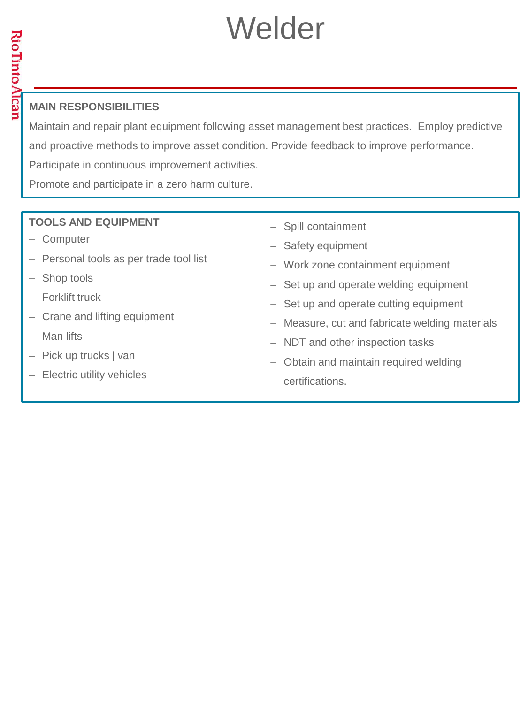### Welder

#### **MAIN RESPONSIBILITIES**

Maintain and repair plant equipment following asset management best practices. Employ predictive and proactive methods to improve asset condition. Provide feedback to improve performance. Participate in continuous improvement activities.

Promote and participate in a zero harm culture.

- ‒ Computer
- Personal tools as per trade tool list
- Shop tools
- ‒ Forklift truck
- Crane and lifting equipment
- ‒ Man lifts
- ‒ Pick up trucks | van
- ‒ Electric utility vehicles
- ‒ Spill containment
- Safety equipment
- ‒ Work zone containment equipment
- Set up and operate welding equipment
- ‒ Set up and operate cutting equipment
- ‒ Measure, cut and fabricate welding materials
- NDT and other inspection tasks
- ‒ Obtain and maintain required welding certifications.